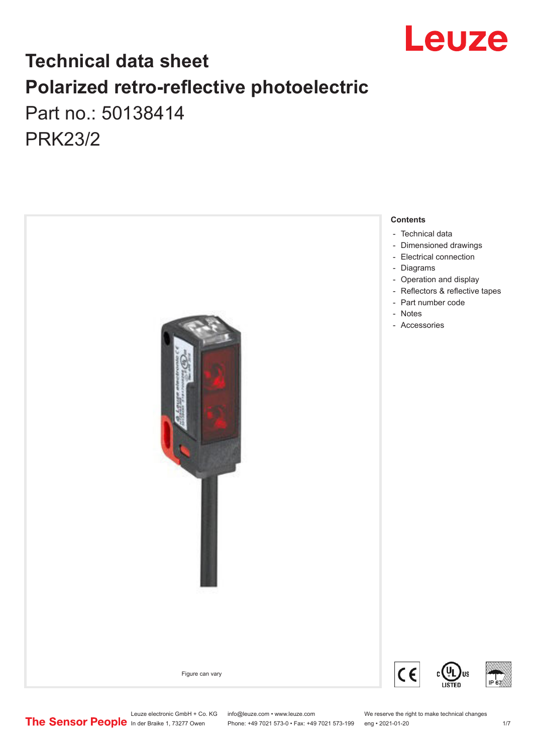

# **Technical data sheet Polarized retro-reflective photoelectric**  Part no.: 50138414 PRK23/2

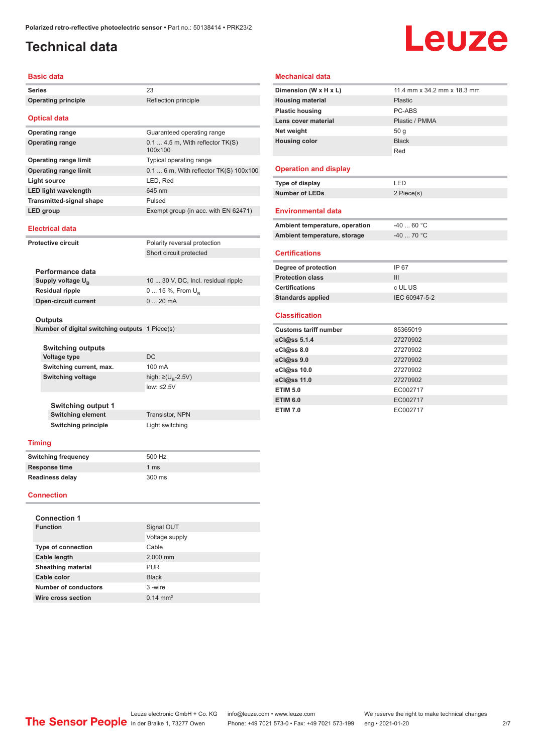### <span id="page-1-0"></span>**Technical data**

# Leuze

#### **Basic data**

| <b>Series</b>   |                                                       | 23                                          |  |  |
|-----------------|-------------------------------------------------------|---------------------------------------------|--|--|
|                 | <b>Operating principle</b>                            | Reflection principle                        |  |  |
|                 | <b>Optical data</b>                                   |                                             |  |  |
|                 | <b>Operating range</b>                                | Guaranteed operating range                  |  |  |
|                 | <b>Operating range</b>                                | $0.14.5$ m, With reflector TK(S)<br>100x100 |  |  |
|                 | <b>Operating range limit</b>                          | Typical operating range                     |  |  |
|                 | <b>Operating range limit</b>                          | 0.1  6 m, With reflector TK(S) 100x100      |  |  |
|                 | <b>Light source</b>                                   | LED, Red                                    |  |  |
|                 | <b>LED light wavelength</b>                           | 645 nm                                      |  |  |
|                 | <b>Transmitted-signal shape</b>                       | Pulsed                                      |  |  |
|                 | <b>LED</b> group                                      | Exempt group (in acc. with EN 62471)        |  |  |
|                 | <b>Electrical data</b>                                |                                             |  |  |
|                 | <b>Protective circuit</b>                             | Polarity reversal protection                |  |  |
|                 |                                                       | Short circuit protected                     |  |  |
|                 |                                                       |                                             |  |  |
|                 | Performance data                                      |                                             |  |  |
|                 | Supply voltage U <sub>B</sub>                         | 10  30 V, DC, Incl. residual ripple         |  |  |
| Residual ripple |                                                       | 0  15 %, From U <sub>B</sub>                |  |  |
|                 | <b>Open-circuit current</b>                           | 020mA                                       |  |  |
| Outputs         |                                                       |                                             |  |  |
|                 | Number of digital switching outputs 1 Piece(s)        |                                             |  |  |
|                 |                                                       |                                             |  |  |
|                 | <b>Switching outputs</b>                              |                                             |  |  |
|                 | Voltage type                                          | <b>DC</b>                                   |  |  |
|                 | Switching current, max.                               | 100 mA                                      |  |  |
|                 | <b>Switching voltage</b>                              | high: $\geq (U_{\text{B}} - 2.5V)$          |  |  |
|                 |                                                       | low: $\leq$ 2.5V                            |  |  |
|                 |                                                       |                                             |  |  |
|                 | <b>Switching output 1</b><br><b>Switching element</b> | Transistor, NPN                             |  |  |
|                 | <b>Switching principle</b>                            | Light switching                             |  |  |
|                 |                                                       |                                             |  |  |
| <b>Timing</b>   |                                                       |                                             |  |  |
|                 | <b>Switching frequency</b>                            | 500 Hz                                      |  |  |
|                 | Response time                                         | 1 ms                                        |  |  |
|                 | <b>Readiness delay</b>                                | 300 ms                                      |  |  |
|                 | <b>Connection</b>                                     |                                             |  |  |
|                 |                                                       |                                             |  |  |

| <b>Connection 1</b>       |                     |  |  |  |
|---------------------------|---------------------|--|--|--|
| <b>Function</b>           | Signal OUT          |  |  |  |
|                           | Voltage supply      |  |  |  |
| <b>Type of connection</b> | Cable               |  |  |  |
| Cable length              | 2,000 mm            |  |  |  |
| <b>Sheathing material</b> | <b>PUR</b>          |  |  |  |
| Cable color               | <b>Black</b>        |  |  |  |
| Number of conductors      | 3-wire              |  |  |  |
| Wire cross section        | $0.14 \text{ mm}^2$ |  |  |  |

#### **Mechanical data**

| Dimension (W x H x L)          | 11.4 mm x 34.2 mm x 18.3 mm |
|--------------------------------|-----------------------------|
| <b>Housing material</b>        | Plastic                     |
| <b>Plastic housing</b>         | PC-ABS                      |
| Lens cover material            | Plastic / PMMA              |
| Net weight                     | 50 <sub>g</sub>             |
| <b>Housing color</b>           | <b>Black</b>                |
|                                | Red                         |
|                                |                             |
| <b>Operation and display</b>   |                             |
| Type of display                | LED                         |
| <b>Number of LEDs</b>          | 2 Piece(s)                  |
|                                |                             |
| <b>Environmental data</b>      |                             |
| Ambient temperature, operation | $-4060 °C$                  |
| Ambient temperature, storage   | $-40$ 70 °C                 |
|                                |                             |
|                                |                             |
| <b>Certifications</b>          |                             |
| Degree of protection           | IP 67                       |
| <b>Protection class</b>        | III                         |
| <b>Certifications</b>          | c UL US                     |
| <b>Standards applied</b>       | IEC 60947-5-2               |
|                                |                             |
| <b>Classification</b>          |                             |
| <b>Customs tariff number</b>   | 85365019                    |
| eCl@ss 5.1.4                   | 27270902                    |
| eCl@ss 8.0                     | 27270902                    |
| eCl@ss 9.0                     | 27270902                    |
| eCl@ss 10.0                    | 27270902                    |
| eCl@ss 11.0                    | 27270902                    |
| <b>ETIM 5.0</b>                | EC002717                    |
| <b>ETIM 6.0</b>                | EC002717                    |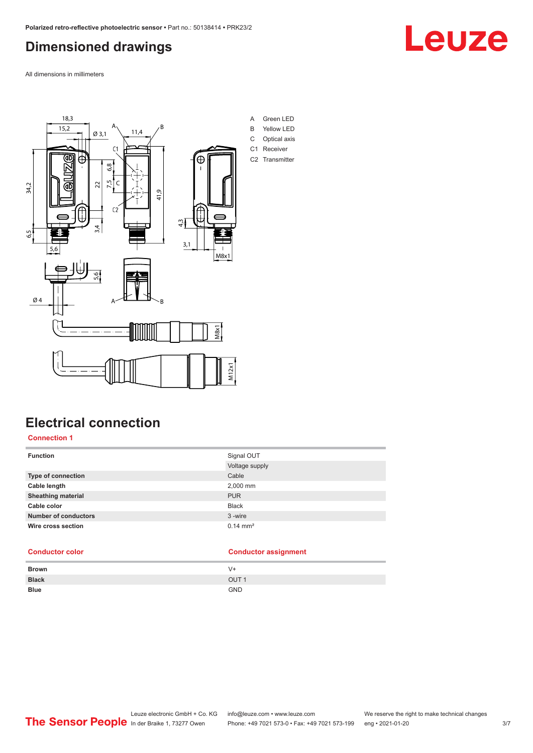### <span id="page-2-0"></span>**Dimensioned drawings**

All dimensions in millimeters



### **Electrical connection**

#### **Connection 1**

| <b>Function</b>             | Signal OUT          |
|-----------------------------|---------------------|
|                             | Voltage supply      |
| Type of connection          | Cable               |
| Cable length                | 2,000 mm            |
| <b>Sheathing material</b>   | <b>PUR</b>          |
| Cable color                 | <b>Black</b>        |
| <b>Number of conductors</b> | 3-wire              |
| Wire cross section          | $0.14 \text{ mm}^2$ |

#### **Conductor color Conductor assignment**

| <b>Brown</b> | V+               |
|--------------|------------------|
| <b>Black</b> | OUT <sub>1</sub> |
| <b>Blue</b>  | <b>GND</b>       |



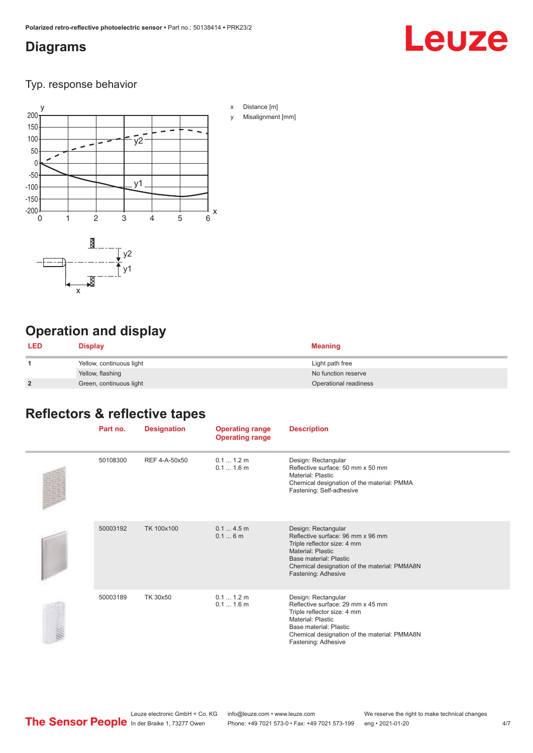#### <span id="page-3-0"></span>**Diagrams**

# Leuze

Typ. response behavior



## **Operation and display**

| <b>LED</b>     | <b>Display</b>           | <b>Meaning</b>        |
|----------------|--------------------------|-----------------------|
|                | Yellow, continuous light | Light path free       |
|                | Yellow, flashing         | No function reserve   |
| $\overline{2}$ | Green, continuous light  | Operational readiness |

## **Reflectors & reflective tapes**

| Part no. | <b>Designation</b> | <b>Operating range</b><br><b>Operating range</b> | <b>Description</b>                                                                                                                                                                                            |
|----------|--------------------|--------------------------------------------------|---------------------------------------------------------------------------------------------------------------------------------------------------------------------------------------------------------------|
| 50108300 | REF 4-A-50x50      | 0.1 1.2 m<br>$0.11.6$ m                          | Design: Rectangular<br>Reflective surface: 50 mm x 50 mm<br>Material: Plastic<br>Chemical designation of the material: PMMA<br>Fastening: Self-adhesive                                                       |
| 50003192 | TK 100x100         | 0.14.5m<br>0.16m                                 | Design: Rectangular<br>Reflective surface: 96 mm x 96 mm<br>Triple reflector size: 4 mm<br>Material: Plastic<br>Base material: Plastic<br>Chemical designation of the material: PMMA8N<br>Fastening: Adhesive |
| 50003189 | TK 30x50           | $0.11.2$ m<br>$0.11.6$ m                         | Design: Rectangular<br>Reflective surface: 29 mm x 45 mm<br>Triple reflector size: 4 mm<br>Material: Plastic<br>Base material: Plastic<br>Chemical designation of the material: PMMA8N<br>Fastening: Adhesive |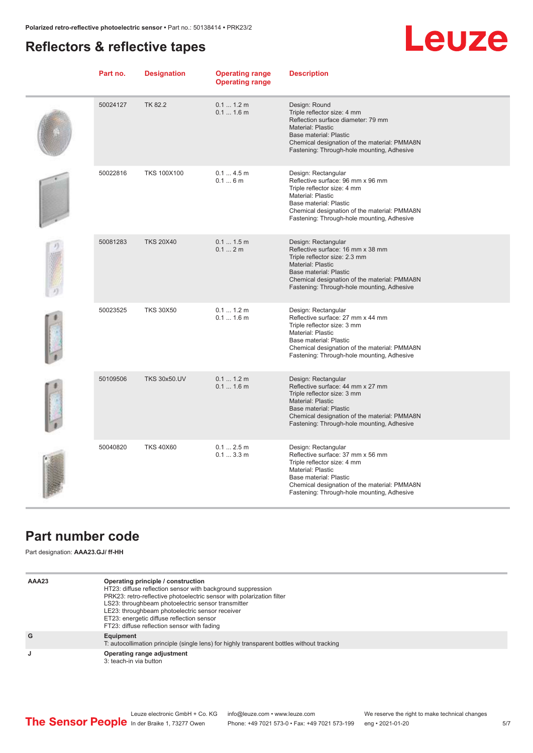#### <span id="page-4-0"></span>**Reflectors & reflective tapes**

# Leuze

| Part no. | <b>Designation</b>  | <b>Operating range</b><br><b>Operating range</b> | <b>Description</b>                                                                                                                                                                                                                            |
|----------|---------------------|--------------------------------------------------|-----------------------------------------------------------------------------------------------------------------------------------------------------------------------------------------------------------------------------------------------|
| 50024127 | TK 82.2             | 0.1 1.2 m<br>0.11.6m                             | Design: Round<br>Triple reflector size: 4 mm<br>Reflection surface diameter: 79 mm<br>Material: Plastic<br>Base material: Plastic<br>Chemical designation of the material: PMMA8N<br>Fastening: Through-hole mounting, Adhesive               |
| 50022816 | <b>TKS 100X100</b>  | 0.14.5m<br>0.16m                                 | Design: Rectangular<br>Reflective surface: 96 mm x 96 mm<br>Triple reflector size: 4 mm<br>Material: Plastic<br>Base material: Plastic<br>Chemical designation of the material: PMMA8N<br>Fastening: Through-hole mounting, Adhesive          |
| 50081283 | <b>TKS 20X40</b>    | 0.11.5m<br>0.12m                                 | Design: Rectangular<br>Reflective surface: 16 mm x 38 mm<br>Triple reflector size: 2.3 mm<br><b>Material: Plastic</b><br>Base material: Plastic<br>Chemical designation of the material: PMMA8N<br>Fastening: Through-hole mounting, Adhesive |
| 50023525 | <b>TKS 30X50</b>    | 0.1 1.2 m<br>$0.11.6$ m                          | Design: Rectangular<br>Reflective surface: 27 mm x 44 mm<br>Triple reflector size: 3 mm<br>Material: Plastic<br>Base material: Plastic<br>Chemical designation of the material: PMMA8N<br>Fastening: Through-hole mounting, Adhesive          |
| 50109506 | <b>TKS 30x50.UV</b> | 0.11.2m<br>$0.11.6$ m                            | Design: Rectangular<br>Reflective surface: 44 mm x 27 mm<br>Triple reflector size: 3 mm<br><b>Material: Plastic</b><br>Base material: Plastic<br>Chemical designation of the material: PMMA8N<br>Fastening: Through-hole mounting, Adhesive   |
| 50040820 | <b>TKS 40X60</b>    | $0.12.5$ m<br>0.13.3m                            | Design: Rectangular<br>Reflective surface: 37 mm x 56 mm<br>Triple reflector size: 4 mm<br><b>Material: Plastic</b><br>Base material: Plastic<br>Chemical designation of the material: PMMA8N<br>Fastening: Through-hole mounting, Adhesive   |

#### **Part number code**

Part designation: **AAA23.GJ/ ff-HH**

| AAA23 | Operating principle / construction<br>HT23: diffuse reflection sensor with background suppression<br>PRK23: retro-reflective photoelectric sensor with polarization filter<br>LS23: throughbeam photoelectric sensor transmitter<br>LE23: throughbeam photoelectric sensor receiver<br>ET23: energetic diffuse reflection sensor<br>FT23: diffuse reflection sensor with fading |
|-------|---------------------------------------------------------------------------------------------------------------------------------------------------------------------------------------------------------------------------------------------------------------------------------------------------------------------------------------------------------------------------------|
| G     | Equipment<br>T: autocollimation principle (single lens) for highly transparent bottles without tracking                                                                                                                                                                                                                                                                         |
| J     | Operating range adjustment<br>3: teach-in via button                                                                                                                                                                                                                                                                                                                            |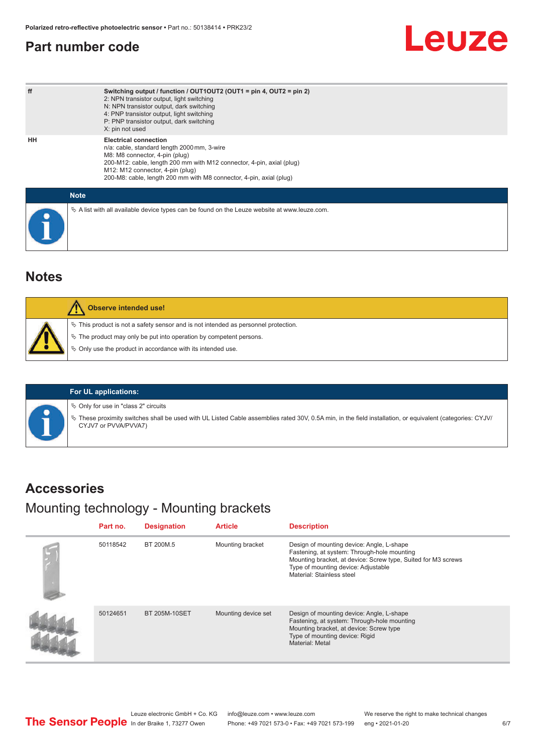#### <span id="page-5-0"></span>**Part number code**

# Leuze

| ff | Switching output / function / $OUT1OUT2$ (OUT1 = pin 4, OUT2 = pin 2)<br>2: NPN transistor output, light switching<br>N: NPN transistor output, dark switching<br>4: PNP transistor output, light switching<br>P: PNP transistor output, dark switching<br>X: pin not used                        |
|----|---------------------------------------------------------------------------------------------------------------------------------------------------------------------------------------------------------------------------------------------------------------------------------------------------|
| HH | <b>Electrical connection</b><br>n/a: cable, standard length 2000 mm, 3-wire<br>M8: M8 connector, 4-pin (plug)<br>200-M12: cable, length 200 mm with M12 connector, 4-pin, axial (plug)<br>M12: M12 connector, 4-pin (plug)<br>200-M8: cable, length 200 mm with M8 connector, 4-pin, axial (plug) |
|    | <b>Note</b>                                                                                                                                                                                                                                                                                       |
|    | $\&$ A list with all available device types can be found on the Leuze website at www.leuze.com.                                                                                                                                                                                                   |

#### **Notes**

| Observe intended use!                                                                                                                                          |
|----------------------------------------------------------------------------------------------------------------------------------------------------------------|
| $\%$ This product is not a safety sensor and is not intended as personnel protection.<br>$\%$ The product may only be put into operation by competent persons. |
| $\%$ Only use the product in accordance with its intended use.                                                                                                 |



 $\%$  Only for use in "class 2" circuits

ª These proximity switches shall be used with UL Listed Cable assemblies rated 30V, 0.5A min, in the field installation, or equivalent (categories: CYJV/ CYJV7 or PVVA/PVVA7)

#### **Accessories**

### Mounting technology - Mounting brackets

| Part no. | <b>Designation</b>   | <b>Article</b>      | <b>Description</b>                                                                                                                                                                                                            |
|----------|----------------------|---------------------|-------------------------------------------------------------------------------------------------------------------------------------------------------------------------------------------------------------------------------|
| 50118542 | BT 200M.5            | Mounting bracket    | Design of mounting device: Angle, L-shape<br>Fastening, at system: Through-hole mounting<br>Mounting bracket, at device: Screw type, Suited for M3 screws<br>Type of mounting device: Adjustable<br>Material: Stainless steel |
| 50124651 | <b>BT 205M-10SET</b> | Mounting device set | Design of mounting device: Angle, L-shape<br>Fastening, at system: Through-hole mounting<br>Mounting bracket, at device: Screw type<br>Type of mounting device: Rigid<br>Material: Metal                                      |